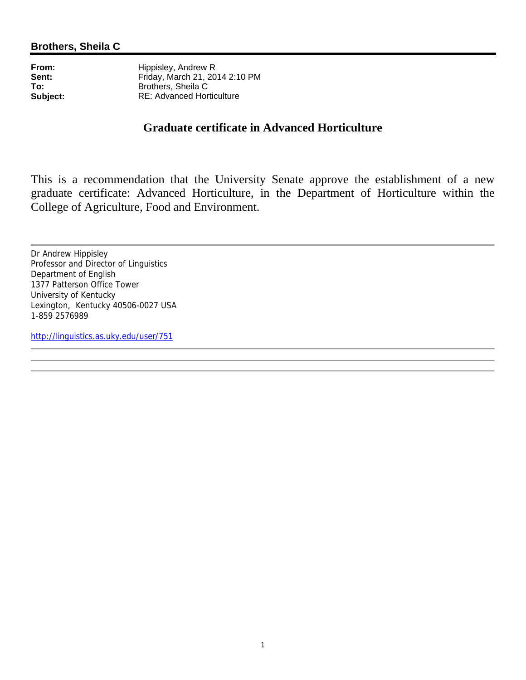**From:** Hippisley, Andrew R<br>**Sent:** Friday. March 21. 20 **Sent:** Friday, March 21, 2014 2:10 PM<br> **To:** Brothers. Sheila C **To:** Brothers, Sheila C<br> **Subject:** RE: Advanced Hor **Subject:** RE: Advanced Horticulture

# **Graduate certificate in Advanced Horticulture**

This is a recommendation that the University Senate approve the establishment of a new graduate certificate: Advanced Horticulture, in the Department of Horticulture within the College of Agriculture, Food and Environment.

Dr Andrew Hippisley Professor and Director of Linguistics Department of English 1377 Patterson Office Tower University of Kentucky Lexington, Kentucky 40506-0027 USA 1-859 2576989

http://linguistics.as.uky.edu/user/751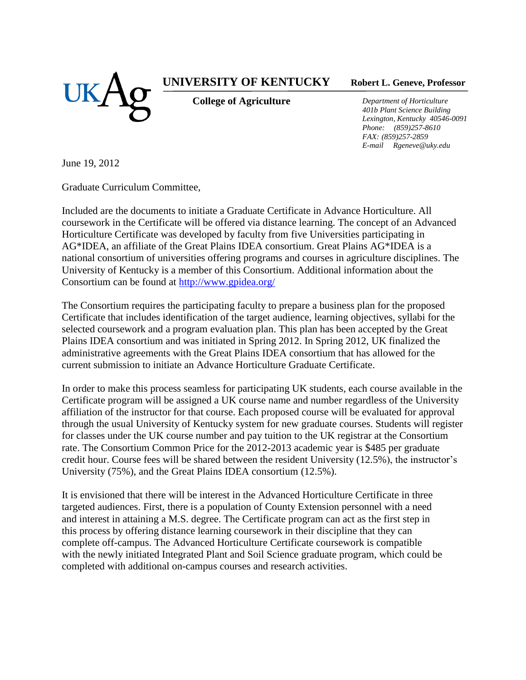

## **UNIVERSITY OF KENTUCKY**

**College of Agriculture**

**Robert L. Geneve, Professor**

*Department of Horticulture 401b Plant Science Building Lexington, Kentucky 40546-0091 Phone: (859)257-8610 FAX: (859)257-2859 E-mail Rgeneve@uky.edu*

June 19, 2012

Graduate Curriculum Committee,

Included are the documents to initiate a Graduate Certificate in Advance Horticulture. All coursework in the Certificate will be offered via distance learning. The concept of an Advanced Horticulture Certificate was developed by faculty from five Universities participating in AG\*IDEA, an affiliate of the Great Plains IDEA consortium. Great Plains AG\*IDEA is a national consortium of universities offering programs and courses in agriculture disciplines. The University of Kentucky is a member of this Consortium. Additional information about the Consortium can be found at<http://www.gpidea.org/>

The Consortium requires the participating faculty to prepare a business plan for the proposed Certificate that includes identification of the target audience, learning objectives, syllabi for the selected coursework and a program evaluation plan. This plan has been accepted by the Great Plains IDEA consortium and was initiated in Spring 2012. In Spring 2012, UK finalized the administrative agreements with the Great Plains IDEA consortium that has allowed for the current submission to initiate an Advance Horticulture Graduate Certificate.

In order to make this process seamless for participating UK students, each course available in the Certificate program will be assigned a UK course name and number regardless of the University affiliation of the instructor for that course. Each proposed course will be evaluated for approval through the usual University of Kentucky system for new graduate courses. Students will register for classes under the UK course number and pay tuition to the UK registrar at the Consortium rate. The Consortium Common Price for the 2012-2013 academic year is \$485 per graduate credit hour. Course fees will be shared between the resident University (12.5%), the instructor's University (75%), and the Great Plains IDEA consortium (12.5%).

It is envisioned that there will be interest in the Advanced Horticulture Certificate in three targeted audiences. First, there is a population of County Extension personnel with a need and interest in attaining a M.S. degree. The Certificate program can act as the first step in this process by offering distance learning coursework in their discipline that they can complete off-campus. The Advanced Horticulture Certificate coursework is compatible with the newly initiated Integrated Plant and Soil Science graduate program, which could be completed with additional on-campus courses and research activities.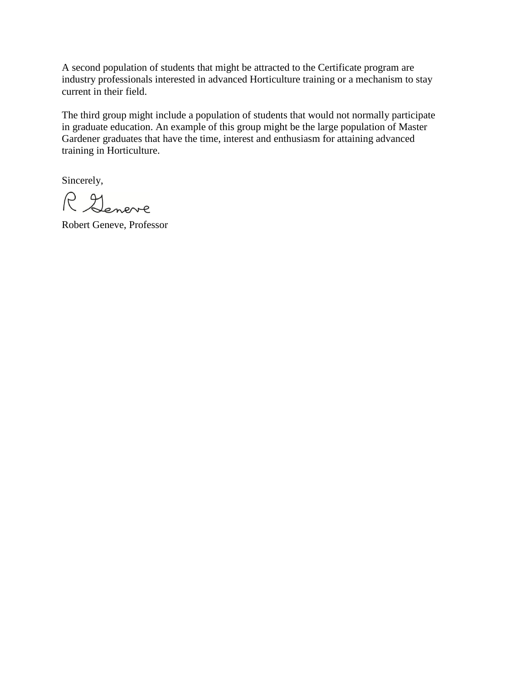A second population of students that might be attracted to the Certificate program are industry professionals interested in advanced Horticulture training or a mechanism to stay current in their field.

The third group might include a population of students that would not normally participate in graduate education. An example of this group might be the large population of Master Gardener graduates that have the time, interest and enthusiasm for attaining advanced training in Horticulture.

Sincerely,

R Geneve

Robert Geneve, Professor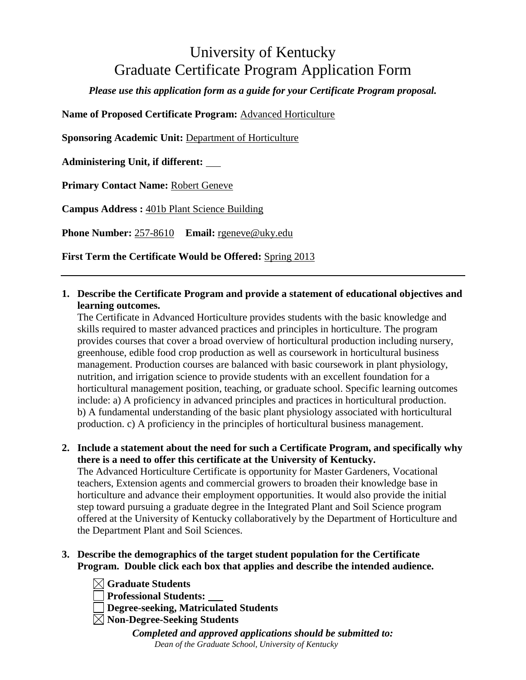# University of Kentucky Graduate Certificate Program Application Form

*Please use this application form as a guide for your Certificate Program proposal.*

**Name of Proposed Certificate Program:** Advanced Horticulture

**Sponsoring Academic Unit:** Department of Horticulture

**Administering Unit, if different:** 

**Primary Contact Name:** Robert Geneve

**Campus Address :** 401b Plant Science Building

the Department Plant and Soil Sciences.

**Phone Number:** 257-8610 **Email:** rgeneve@uky.edu

**First Term the Certificate Would be Offered:** Spring 2013

**1. Describe the Certificate Program and provide a statement of educational objectives and learning outcomes.** 

The Certificate in Advanced Horticulture provides students with the basic knowledge and skills required to master advanced practices and principles in horticulture. The program provides courses that cover a broad overview of horticultural production including nursery, greenhouse, edible food crop production as well as coursework in horticultural business management. Production courses are balanced with basic coursework in plant physiology, nutrition, and irrigation science to provide students with an excellent foundation for a horticultural management position, teaching, or graduate school. Specific learning outcomes include: a) A proficiency in advanced principles and practices in horticultural production. b) A fundamental understanding of the basic plant physiology associated with horticultural production. c) A proficiency in the principles of horticultural business management.

- **2. Include a statement about the need for such a Certificate Program, and specifically why there is a need to offer this certificate at the University of Kentucky.**  The Advanced Horticulture Certificate is opportunity for Master Gardeners, Vocational teachers, Extension agents and commercial growers to broaden their knowledge base in horticulture and advance their employment opportunities. It would also provide the initial step toward pursuing a graduate degree in the Integrated Plant and Soil Science program offered at the University of Kentucky collaboratively by the Department of Horticulture and
- **3. Describe the demographics of the target student population for the Certificate Program. Double click each box that applies and describe the intended audience.**

**Graduate Students Professional Students: Degree-seeking, Matriculated Students Non-Degree-Seeking Students**

*Completed and approved applications should be submitted to: Dean of the Graduate School, University of Kentucky*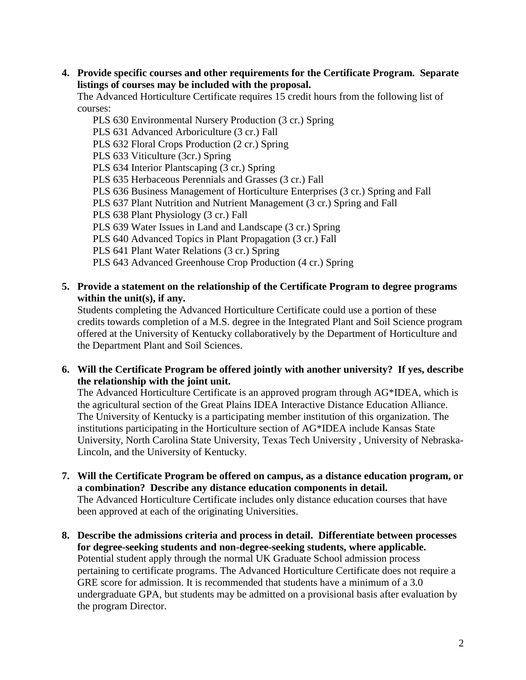**4. Provide specific courses and other requirements for the Certificate Program. Separate listings of courses may be included with the proposal.**

The Advanced Horticulture Certificate requires 15 credit hours from the following list of courses:

PLS 630 Environmental Nursery Production (3 cr.) Spring PLS 631 Advanced Arboriculture (3 cr.) Fall PLS 632 Floral Crops Production (2 cr.) Spring PLS 633 Viticulture (3cr.) Spring PLS 634 Interior Plantscaping (3 cr.) Spring PLS 635 Herbaceous Perennials and Grasses (3 cr.) Fall PLS 636 Business Management of Horticulture Enterprises (3 cr.) Spring and Fall PLS 637 Plant Nutrition and Nutrient Management (3 cr.) Spring and Fall PLS 638 Plant Physiology (3 cr.) Fall PLS 639 Water Issues in Land and Landscape (3 cr.) Spring PLS 640 Advanced Topics in Plant Propagation (3 cr.) Fall PLS 641 Plant Water Relations (3 cr.) Spring PLS 643 Advanced Greenhouse Crop Production (4 cr.) Spring

### **5. Provide a statement on the relationship of the Certificate Program to degree programs within the unit(s), if any.**

Students completing the Advanced Horticulture Certificate could use a portion of these credits towards completion of a M.S. degree in the Integrated Plant and Soil Science program offered at the University of Kentucky collaboratively by the Department of Horticulture and the Department Plant and Soil Sciences.

**6. Will the Certificate Program be offered jointly with another university? If yes, describe the relationship with the joint unit.**

The Advanced Horticulture Certificate is an approved program through AG\*IDEA, which is the agricultural section of the Great Plains IDEA Interactive Distance Education Alliance. The University of Kentucky is a participating member institution of this organization. The institutions participating in the Horticulture section of AG\*IDEA include Kansas State University, North Carolina State University, Texas Tech University , University of Nebraska-Lincoln, and the University of Kentucky.

- **7. Will the Certificate Program be offered on campus, as a distance education program, or a combination? Describe any distance education components in detail.** The Advanced Horticulture Certificate includes only distance education courses that have been approved at each of the originating Universities.
- **8. Describe the admissions criteria and process in detail. Differentiate between processes for degree-seeking students and non-degree-seeking students, where applicable.** Potential student apply through the normal UK Graduate School admission process pertaining to certificate programs. The Advanced Horticulture Certificate does not require a GRE score for admission. It is recommended that students have a minimum of a 3.0 undergraduate GPA, but students may be admitted on a provisional basis after evaluation by the program Director.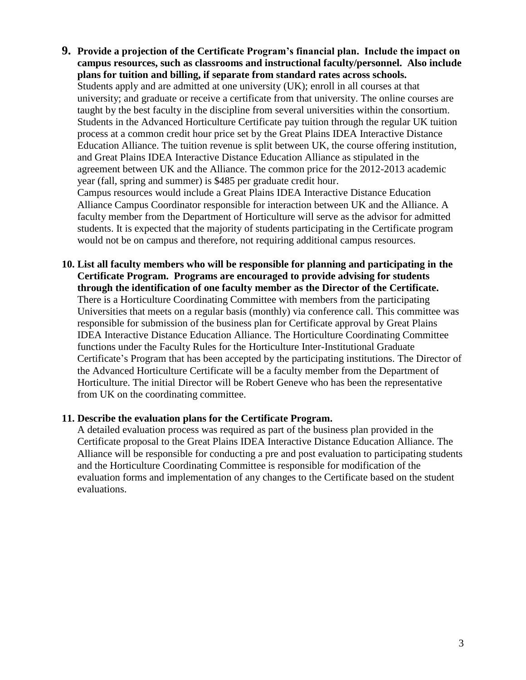- **9. Provide a projection of the Certificate Program's financial plan. Include the impact on campus resources, such as classrooms and instructional faculty/personnel. Also include plans for tuition and billing, if separate from standard rates across schools.** Students apply and are admitted at one university (UK); enroll in all courses at that university; and graduate or receive a certificate from that university. The online courses are taught by the best faculty in the discipline from several universities within the consortium. Students in the Advanced Horticulture Certificate pay tuition through the regular UK tuition process at a common credit hour price set by the Great Plains IDEA Interactive Distance Education Alliance. The tuition revenue is split between UK, the course offering institution, and Great Plains IDEA Interactive Distance Education Alliance as stipulated in the agreement between UK and the Alliance. The common price for the 2012-2013 academic year (fall, spring and summer) is \$485 per graduate credit hour. Campus resources would include a Great Plains IDEA Interactive Distance Education Alliance Campus Coordinator responsible for interaction between UK and the Alliance. A faculty member from the Department of Horticulture will serve as the advisor for admitted students. It is expected that the majority of students participating in the Certificate program would not be on campus and therefore, not requiring additional campus resources.
- **10. List all faculty members who will be responsible for planning and participating in the Certificate Program. Programs are encouraged to provide advising for students through the identification of one faculty member as the Director of the Certificate.** There is a Horticulture Coordinating Committee with members from the participating Universities that meets on a regular basis (monthly) via conference call. This committee was responsible for submission of the business plan for Certificate approval by Great Plains IDEA Interactive Distance Education Alliance. The Horticulture Coordinating Committee functions under the Faculty Rules for the Horticulture Inter-Institutional Graduate Certificate's Program that has been accepted by the participating institutions. The Director of the Advanced Horticulture Certificate will be a faculty member from the Department of Horticulture. The initial Director will be Robert Geneve who has been the representative from UK on the coordinating committee.

#### **11. Describe the evaluation plans for the Certificate Program.**

A detailed evaluation process was required as part of the business plan provided in the Certificate proposal to the Great Plains IDEA Interactive Distance Education Alliance. The Alliance will be responsible for conducting a pre and post evaluation to participating students and the Horticulture Coordinating Committee is responsible for modification of the evaluation forms and implementation of any changes to the Certificate based on the student evaluations.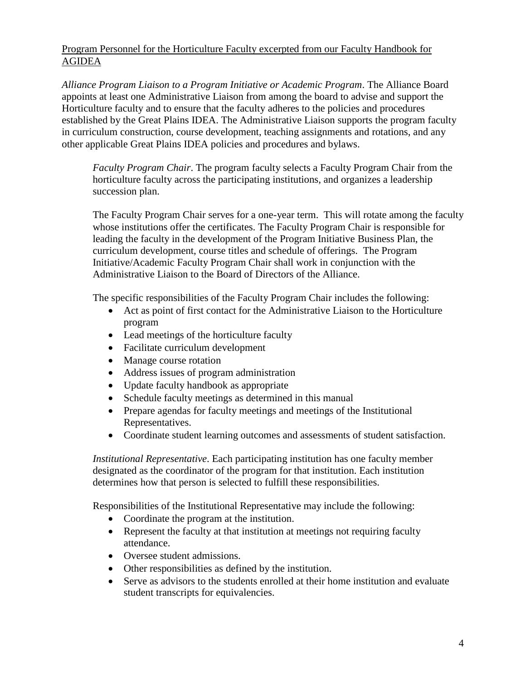Program Personnel for the Horticulture Faculty excerpted from our Faculty Handbook for AGIDEA

*Alliance Program Liaison to a Program Initiative or Academic Program*. The Alliance Board appoints at least one Administrative Liaison from among the board to advise and support the Horticulture faculty and to ensure that the faculty adheres to the policies and procedures established by the Great Plains IDEA. The Administrative Liaison supports the program faculty in curriculum construction, course development, teaching assignments and rotations, and any other applicable Great Plains IDEA policies and procedures and bylaws.

*Faculty Program Chair*. The program faculty selects a Faculty Program Chair from the horticulture faculty across the participating institutions, and organizes a leadership succession plan.

The Faculty Program Chair serves for a one-year term. This will rotate among the faculty whose institutions offer the certificates. The Faculty Program Chair is responsible for leading the faculty in the development of the Program Initiative Business Plan, the curriculum development, course titles and schedule of offerings. The Program Initiative/Academic Faculty Program Chair shall work in conjunction with the Administrative Liaison to the Board of Directors of the Alliance.

The specific responsibilities of the Faculty Program Chair includes the following:

- Act as point of first contact for the Administrative Liaison to the Horticulture program
- Lead meetings of the horticulture faculty
- Facilitate curriculum development
- Manage course rotation
- Address issues of program administration
- Update faculty handbook as appropriate
- Schedule faculty meetings as determined in this manual
- Prepare agendas for faculty meetings and meetings of the Institutional Representatives.
- Coordinate student learning outcomes and assessments of student satisfaction.

*Institutional Representative*. Each participating institution has one faculty member designated as the coordinator of the program for that institution. Each institution determines how that person is selected to fulfill these responsibilities.

Responsibilities of the Institutional Representative may include the following:

- Coordinate the program at the institution.
- Represent the faculty at that institution at meetings not requiring faculty attendance.
- Oversee student admissions.
- Other responsibilities as defined by the institution.
- Serve as advisors to the students enrolled at their home institution and evaluate student transcripts for equivalencies.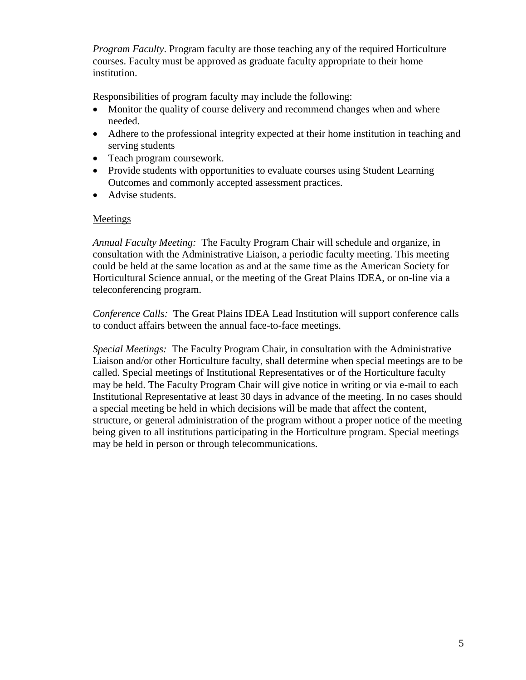*Program Faculty*. Program faculty are those teaching any of the required Horticulture courses. Faculty must be approved as graduate faculty appropriate to their home institution.

Responsibilities of program faculty may include the following:

- Monitor the quality of course delivery and recommend changes when and where needed.
- Adhere to the professional integrity expected at their home institution in teaching and serving students
- Teach program coursework.
- Provide students with opportunities to evaluate courses using Student Learning Outcomes and commonly accepted assessment practices.
- Advise students.

#### **Meetings**

*Annual Faculty Meeting:* The Faculty Program Chair will schedule and organize, in consultation with the Administrative Liaison, a periodic faculty meeting. This meeting could be held at the same location as and at the same time as the American Society for Horticultural Science annual, or the meeting of the Great Plains IDEA, or on-line via a teleconferencing program.

*Conference Calls:* The Great Plains IDEA Lead Institution will support conference calls to conduct affairs between the annual face-to-face meetings.

*Special Meetings:* The Faculty Program Chair, in consultation with the Administrative Liaison and/or other Horticulture faculty, shall determine when special meetings are to be called. Special meetings of Institutional Representatives or of the Horticulture faculty may be held. The Faculty Program Chair will give notice in writing or via e-mail to each Institutional Representative at least 30 days in advance of the meeting. In no cases should a special meeting be held in which decisions will be made that affect the content, structure, or general administration of the program without a proper notice of the meeting being given to all institutions participating in the Horticulture program. Special meetings may be held in person or through telecommunications.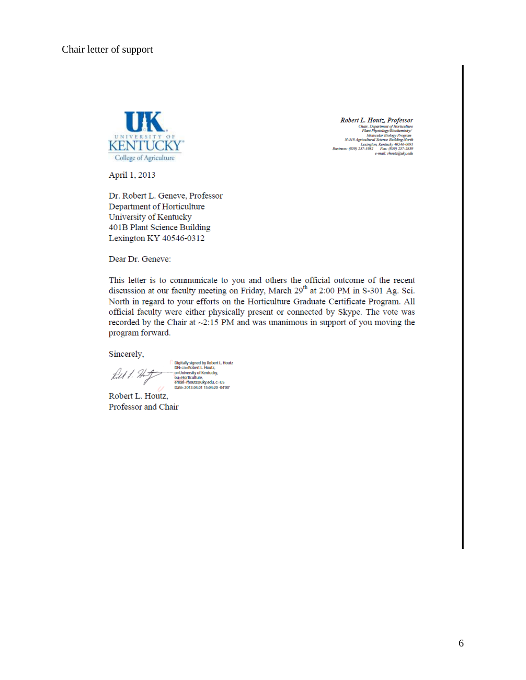

Robert L. Houtz, Professor  $\begin{tabular}{c} \textbf{ROUETL} & \textbf{F-OUFCS} & \textbf{PCS} & \textbf{OCS} \\ \hline \textbf{Carin}, Department of Horizontalance \\ \textbf{Planch (Pipsology)} \\ \textbf{Molecular Biology} \\ \textbf{No decimal Science} \\ \textbf{Notically} \\ \textbf{A-318} \\ \textbf{A gradient Biology} \\ \textbf{Dysimess:} \ (859) \; 257-1982 \quad \textbf{Fac:} \ (839) \; 257-2859 \end{tabular}$ e-mail: rhoutz@uky.edu

April 1, 2013

Dr. Robert L. Geneve, Professor Department of Horticulture University of Kentucky 401B Plant Science Building Lexington KY 40546-0312

Dear Dr. Geneve:

This letter is to communicate to you and others the official outcome of the recent discussion at our faculty meeting on Friday, March 29<sup>th</sup> at 2:00 PM in S-301 Ag. Sci. North in regard to your efforts on the Horticulture Graduate Certificate Program. All official faculty were either physically present or connected by Skype. The vote was recorded by the Chair at  $\sim$ 2:15 PM and was unanimous in support of you moving the program forward.

Sincerely,

filt 1. Hitz

Digitally signed by Robert L. Houtz<br>DN: cn=Robert L. Houtz, - o-University of Kentucky,<br>
ou-Horticulture,<br>
email-rhoutz@uky.edu, c=US<br>
Date: 2013.04.01 15:04:20 -04'00'

Robert L. Houtz, Professor and Chair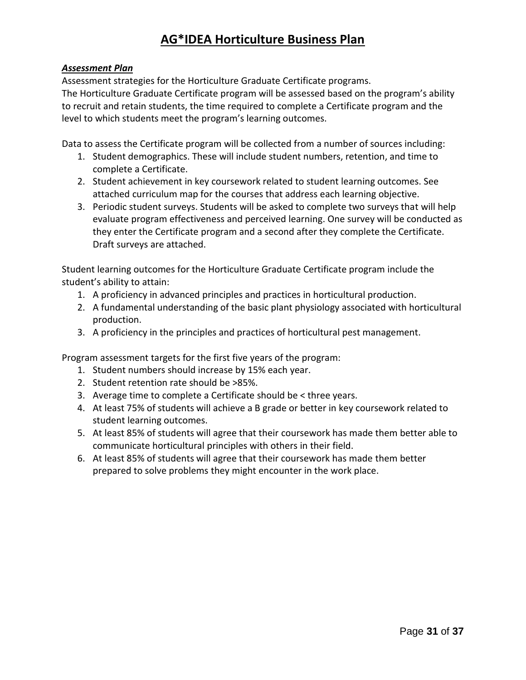# **AG\*IDEA Horticulture Business Plan**

#### *Assessment Plan*

Assessment strategies for the Horticulture Graduate Certificate programs.

The Horticulture Graduate Certificate program will be assessed based on the program's ability to recruit and retain students, the time required to complete a Certificate program and the level to which students meet the program's learning outcomes.

Data to assess the Certificate program will be collected from a number of sources including:

- 1. Student demographics. These will include student numbers, retention, and time to complete a Certificate.
- 2. Student achievement in key coursework related to student learning outcomes. See attached curriculum map for the courses that address each learning objective.
- 3. Periodic student surveys. Students will be asked to complete two surveys that will help evaluate program effectiveness and perceived learning. One survey will be conducted as they enter the Certificate program and a second after they complete the Certificate. Draft surveys are attached.

Student learning outcomes for the Horticulture Graduate Certificate program include the student's ability to attain:

- 1. A proficiency in advanced principles and practices in horticultural production.
- 2. A fundamental understanding of the basic plant physiology associated with horticultural production.
- 3. A proficiency in the principles and practices of horticultural pest management.

Program assessment targets for the first five years of the program:

- 1. Student numbers should increase by 15% each year.
- 2. Student retention rate should be >85%.
- 3. Average time to complete a Certificate should be < three years.
- 4. At least 75% of students will achieve a B grade or better in key coursework related to student learning outcomes.
- 5. At least 85% of students will agree that their coursework has made them better able to communicate horticultural principles with others in their field.
- 6. At least 85% of students will agree that their coursework has made them better prepared to solve problems they might encounter in the work place.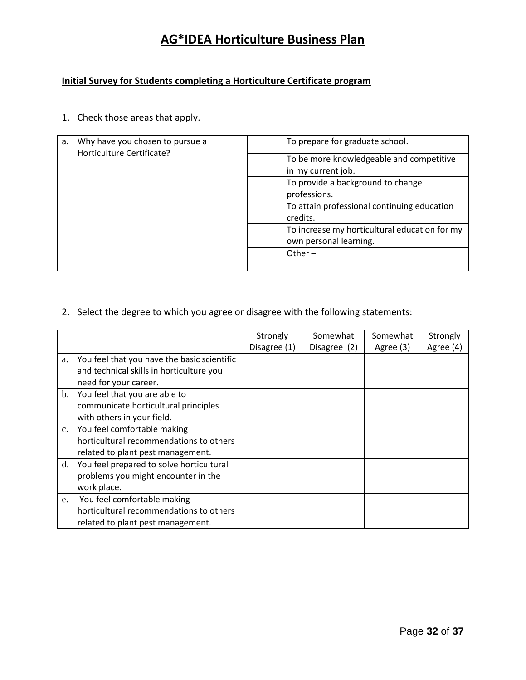# **AG\*IDEA Horticulture Business Plan**

### **Initial Survey for Students completing a Horticulture Certificate program**

1. Check those areas that apply.

| Why have you chosen to pursue a<br>a. | To prepare for graduate school.                                         |
|---------------------------------------|-------------------------------------------------------------------------|
| Horticulture Certificate?             | To be more knowledgeable and competitive<br>in my current job.          |
|                                       | To provide a background to change<br>professions.                       |
|                                       | To attain professional continuing education<br>credits.                 |
|                                       | To increase my horticultural education for my<br>own personal learning. |
|                                       | Other $-$                                                               |

2. Select the degree to which you agree or disagree with the following statements:

|    |                                             | Strongly     | Somewhat     | Somewhat  | Strongly  |
|----|---------------------------------------------|--------------|--------------|-----------|-----------|
|    |                                             | Disagree (1) | Disagree (2) | Agree (3) | Agree (4) |
| a. | You feel that you have the basic scientific |              |              |           |           |
|    | and technical skills in horticulture you    |              |              |           |           |
|    | need for your career.                       |              |              |           |           |
| b. | You feel that you are able to               |              |              |           |           |
|    | communicate horticultural principles        |              |              |           |           |
|    | with others in your field.                  |              |              |           |           |
|    | c. You feel comfortable making              |              |              |           |           |
|    | horticultural recommendations to others     |              |              |           |           |
|    | related to plant pest management.           |              |              |           |           |
| d. | You feel prepared to solve horticultural    |              |              |           |           |
|    | problems you might encounter in the         |              |              |           |           |
|    | work place.                                 |              |              |           |           |
| e. | You feel comfortable making                 |              |              |           |           |
|    | horticultural recommendations to others     |              |              |           |           |
|    | related to plant pest management.           |              |              |           |           |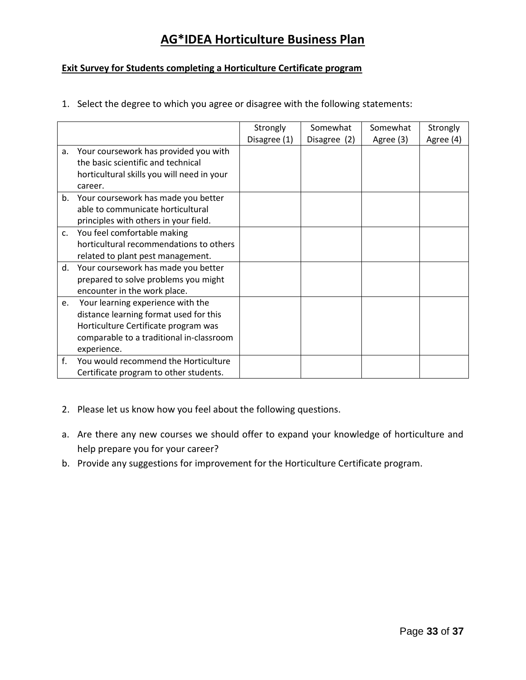# **AG\*IDEA Horticulture Business Plan**

#### **Exit Survey for Students completing a Horticulture Certificate program**

1. Select the degree to which you agree or disagree with the following statements:

|    |                                            | Strongly     | Somewhat     | Somewhat  | Strongly  |
|----|--------------------------------------------|--------------|--------------|-----------|-----------|
|    |                                            | Disagree (1) | Disagree (2) | Agree (3) | Agree (4) |
| a. | Your coursework has provided you with      |              |              |           |           |
|    | the basic scientific and technical         |              |              |           |           |
|    | horticultural skills you will need in your |              |              |           |           |
|    | career.                                    |              |              |           |           |
| b. | Your coursework has made you better        |              |              |           |           |
|    | able to communicate horticultural          |              |              |           |           |
|    | principles with others in your field.      |              |              |           |           |
| c. | You feel comfortable making                |              |              |           |           |
|    | horticultural recommendations to others    |              |              |           |           |
|    | related to plant pest management.          |              |              |           |           |
| d. | Your coursework has made you better        |              |              |           |           |
|    | prepared to solve problems you might       |              |              |           |           |
|    | encounter in the work place.               |              |              |           |           |
| e. | Your learning experience with the          |              |              |           |           |
|    | distance learning format used for this     |              |              |           |           |
|    | Horticulture Certificate program was       |              |              |           |           |
|    | comparable to a traditional in-classroom   |              |              |           |           |
|    | experience.                                |              |              |           |           |
| f. | You would recommend the Horticulture       |              |              |           |           |
|    | Certificate program to other students.     |              |              |           |           |

- 2. Please let us know how you feel about the following questions.
- a. Are there any new courses we should offer to expand your knowledge of horticulture and help prepare you for your career?
- b. Provide any suggestions for improvement for the Horticulture Certificate program.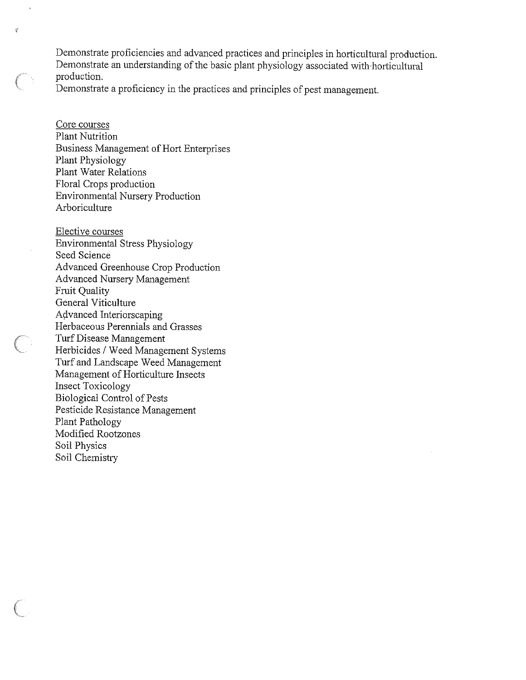Demonstrate proficiencies and advanced practices and principles in horticultural production. Demonstrate an understanding of the basic plant physiology associated with horticultural production.

Demonstrate a proficiency in the practices and principles of pest management.

Core courses Plant Nutrition **Business Management of Hort Enterprises** Plant Physiology Plant Water Relations Floral Crops production **Environmental Nursery Production** Arboriculture

 $\hat{Z}$ 

Elective courses **Environmental Stress Physiology** Seed Science Advanced Greenhouse Crop Production **Advanced Nursery Management** Fruit Quality General Viticulture Advanced Interiorscaping Herbaceous Perennials and Grasses Turf Disease Management Herbicides / Weed Management Systems Turf and Landscape Weed Management Management of Horticulture Insects **Insect Toxicology** Biological Control of Pests Pesticide Resistance Management Plant Pathology Modified Rootzones Soil Physics Soil Chemistry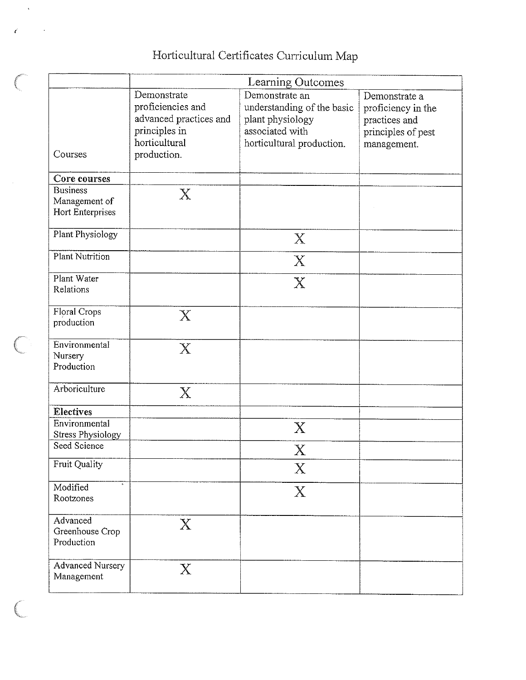# Horticultural Certificates Curriculum Map

|                                                      | Learning Outcomes                                                                                           |                                                                                                                  |                                                                                           |  |  |
|------------------------------------------------------|-------------------------------------------------------------------------------------------------------------|------------------------------------------------------------------------------------------------------------------|-------------------------------------------------------------------------------------------|--|--|
| Courses                                              | Demonstrate<br>proficiencies and<br>advanced practices and<br>principles in<br>horticultural<br>production. | Demonstrate an<br>understanding of the basic<br>plant physiology<br>associated with<br>horticultural production. | Demonstrate a<br>proficiency in the<br>practices and<br>principles of pest<br>management. |  |  |
| Core courses                                         |                                                                                                             |                                                                                                                  |                                                                                           |  |  |
| <b>Business</b><br>Management of<br>Hort Enterprises | $\mathbf{X}% _{0}$                                                                                          |                                                                                                                  |                                                                                           |  |  |
| Plant Physiology                                     |                                                                                                             | $\boldsymbol{\mathrm{X}}$                                                                                        |                                                                                           |  |  |
| <b>Plant Nutrition</b>                               |                                                                                                             | X                                                                                                                |                                                                                           |  |  |
| Plant Water<br>Relations                             |                                                                                                             | $\mathbb{X}$                                                                                                     |                                                                                           |  |  |
| Floral Crops<br>production                           | $\rm X$                                                                                                     |                                                                                                                  |                                                                                           |  |  |
| Environmental<br>Nursery<br>Production               | $\rm X$                                                                                                     |                                                                                                                  |                                                                                           |  |  |
| Arboriculture                                        | $\mathbf{X}$                                                                                                |                                                                                                                  |                                                                                           |  |  |
| <b>Electives</b>                                     |                                                                                                             |                                                                                                                  |                                                                                           |  |  |
| Environmental<br><b>Stress Physiology</b>            |                                                                                                             | X                                                                                                                |                                                                                           |  |  |
| Seed Science                                         |                                                                                                             | $\rm X$                                                                                                          |                                                                                           |  |  |
| <b>Fruit Quality</b>                                 |                                                                                                             | $\boldsymbol{\mathrm{X}}$                                                                                        |                                                                                           |  |  |
| Modified<br>Rootzones                                |                                                                                                             | $\boldsymbol{\mathrm{X}}$                                                                                        |                                                                                           |  |  |
| Advanced<br>Greenhouse Crop<br>Production            | $\rm X$                                                                                                     |                                                                                                                  |                                                                                           |  |  |
| <b>Advanced Nursery</b><br>Management                | $\rm X$                                                                                                     |                                                                                                                  |                                                                                           |  |  |

 $\left( \begin{array}{cc} 0 & 0 \\ 0 & 0 \end{array} \right)$ 

**Contract Contract** 

Í

 $\big($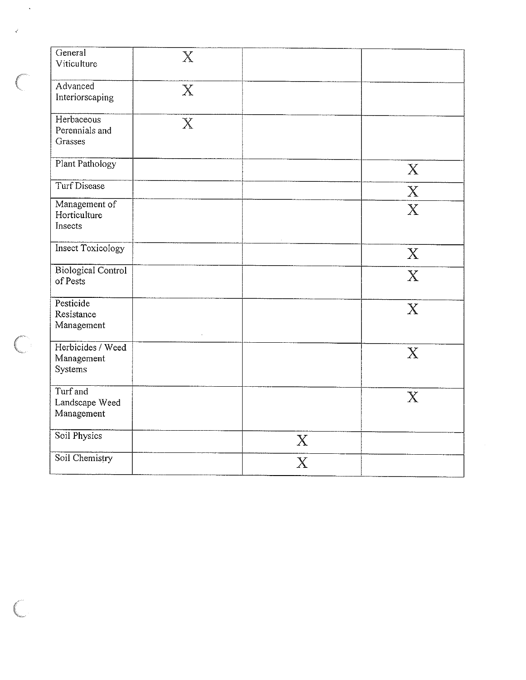| General<br>Viticulture                     | $\mathbf X$      |                           |                           |
|--------------------------------------------|------------------|---------------------------|---------------------------|
| Advanced<br>Interiorscaping                | $\boldsymbol{X}$ |                           |                           |
| Herbaceous<br>Perennials and<br>Grasses    | $\mathbb{X}$     |                           |                           |
| Plant Pathology                            |                  |                           | $\mathbf{X}$              |
| Turf Disease                               |                  |                           | $\mathbf X$               |
| Management of<br>Horticulture<br>Insects   |                  |                           | $\boldsymbol{X}$          |
| <b>Insect Toxicology</b>                   |                  |                           | $\boldsymbol{X}$          |
| <b>Biological Control</b><br>of Pests      |                  |                           | $\boldsymbol{X}$          |
| Pesticide<br>Resistance<br>Management      |                  |                           | $\mathbf{X}$              |
| Herbicides / Weed<br>Management<br>Systems |                  |                           | $\boldsymbol{\mathrm{X}}$ |
| Turf and<br>Landscape Weed<br>Management   |                  |                           | $\boldsymbol{\mathrm{X}}$ |
| Soil Physics                               |                  | $\boldsymbol{X}$          |                           |
| Soil Chemistry                             |                  | $\boldsymbol{\mathrm{X}}$ |                           |

 $\hat{\mathcal{A}}$ 

 $\frac{d}{dt}$ 

 $\overline{C}$ 

 $\overline{\mathbb{C}}$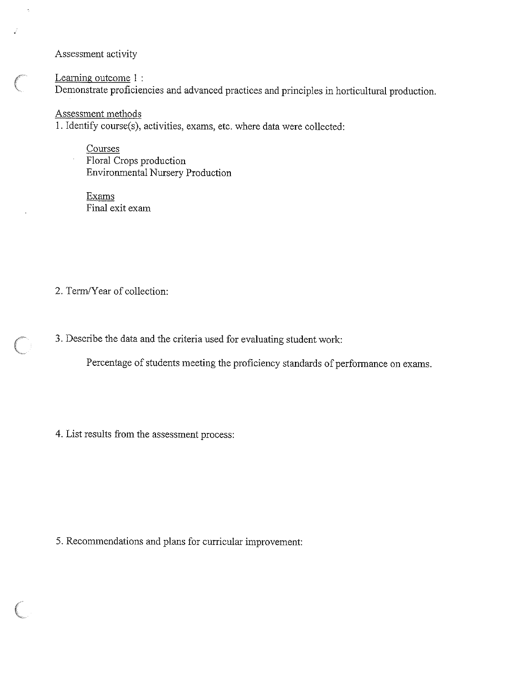Assessment activity

 $\hat{\boldsymbol{\epsilon}}$ 

 $\overline{\mathcal{L}}$ 

Learning outcome 1 : Demonstrate proficiencies and advanced practices and principles in horticultural production.

Assessment methods 1. Identify course(s), activities, exams, etc. where data were collected:

Courses Floral Crops production Environmental Nursery Production

Exams Final exit exam

2. Term/Year of collection:

3. Describe the data and the criteria used for evaluating student work:

Percentage of students meeting the proficiency standards of performance on exams.

4. List results from the assessment process:

5. Recommendations and plans for curricular improvement: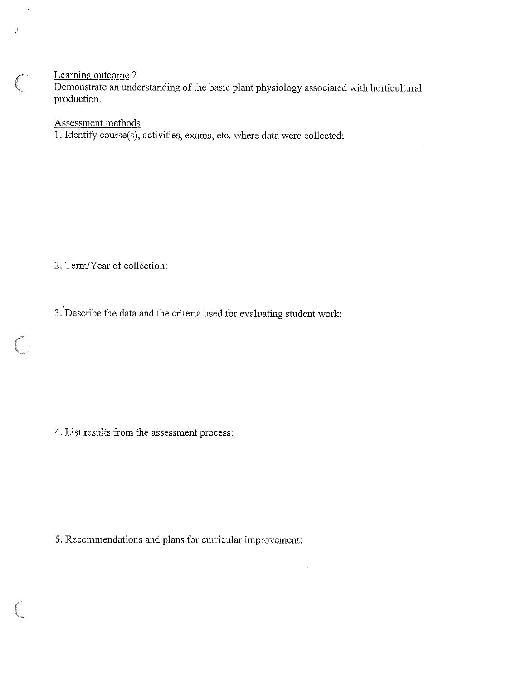### Learning outcome 2 :

 $\ddot{\phantom{a}}$ 

Demonstrate an understanding of the basic plant physiology associated with horticultural production.

Assessment methods

1. Identify course(s), activities, exams, etc. where data were collected:

2. Term/Year of collection:

3. Describe the data and the criteria used for evaluating student work:

4. List results from the assessment process:

5. Recommendations and plans for curricular improvement: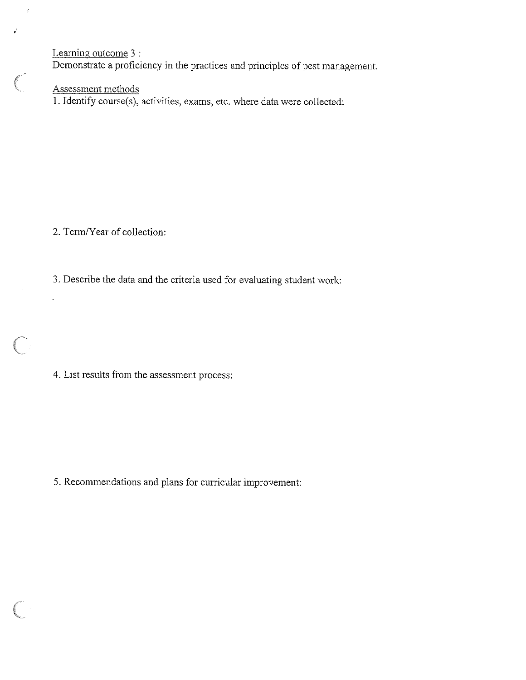Learning outcome 3 :

 $\dot{t}$ 

 $\bigg($ 

Demonstrate a proficiency in the practices and principles of pest management.

Assessment methods

1. Identify course(s), activities, exams, etc. where data were collected:

2. Term/Year of collection:

l,

 $\overline{C}$ 

3. Describe the data and the criteria used for evaluating student work:

4. List results from the assessment process:

5. Recommendations and plans for curricular improvement: